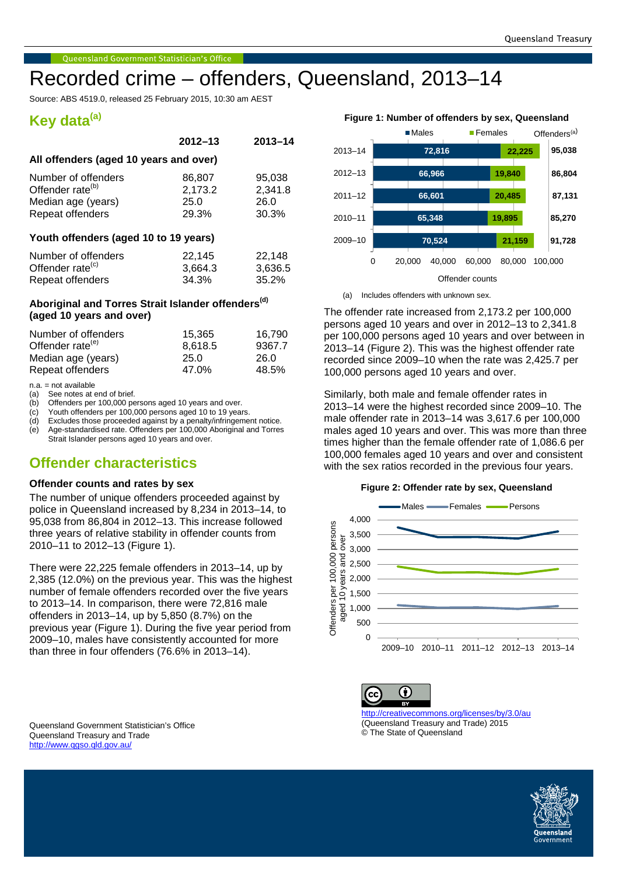# Recorded crime – offenders, Queensland, 2013–14

Source: ABS 4519.0, released 25 February 2015, 10:30 am AEST

# **Key data(a)**

|                                        | $2012 - 13$ | $2013 - 14$ |  |  |  |  |
|----------------------------------------|-------------|-------------|--|--|--|--|
| All offenders (aged 10 years and over) |             |             |  |  |  |  |
| Number of offenders                    | 86,807      | 95,038      |  |  |  |  |
| Offender rate <sup>(b)</sup>           | 2,173.2     | 2,341.8     |  |  |  |  |
| Median age (years)                     | 25.0        | 26.0        |  |  |  |  |
| Repeat offenders                       | 29.3%       | 30.3%       |  |  |  |  |
| Youth offenders (aged 10 to 19 years)  |             |             |  |  |  |  |
| Number of offenders                    | 22.145      | 22.148      |  |  |  |  |

Offender rate<sup>(c)</sup> 3,664.3 3,636.5 Repeat offenders 34.3% 35.2%

# **Aboriginal and Torres Strait Islander offenders(d) (aged 10 years and over)**

| Number of offenders          | 15.365  | 16.790 |
|------------------------------|---------|--------|
| Offender rate <sup>(e)</sup> | 8.618.5 | 9367.7 |
| Median age (years)           | 25.0    | 26.0   |
| Repeat offenders             | 47.0%   | 48.5%  |
|                              |         |        |

n.a. = not available

(a) See notes at end of brief.<br>(b) Offenders per 100.000 pe

Offenders per 100,000 persons aged 10 years and over.

(c) Youth offenders per 100,000 persons aged 10 to 19 years.<br>(d) Excludes those proceeded against by a penalty/infringeme

Excludes those proceeded against by a penalty/infringement notice. (e) Age-standardised rate. Offenders per 100,000 Aboriginal and Torres Strait Islander persons aged 10 years and over.

# **Offender characteristics**

## **Offender counts and rates by sex**

The number of unique offenders proceeded against by police in Queensland increased by 8,234 in 2013–14, to 95,038 from 86,804 in 2012–13. This increase followed three years of relative stability in offender counts from 2010–11 to 2012–13 (Figure 1).

There were 22,225 female offenders in 2013–14, up by 2,385 (12.0%) on the previous year. This was the highest number of female offenders recorded over the five years to 2013–14. In comparison, there were 72,816 male offenders in 2013–14, up by 5,850 (8.7%) on the previous year (Figure 1). During the five year period from 2009–10, males have consistently accounted for more than three in four offenders (76.6% in 2013–14).

#### <span id="page-0-0"></span>Queensland Government Statistician's Office Queensland Treasury and Trade <http://www.qgso.qld.gov.au/>



(a) Includes offenders with unknown sex.

The offender rate increased from 2,173.2 per 100,000 persons aged 10 years and over in 2012–13 to 2,341.8 per 100,000 persons aged 10 years and over between in 2013–14 (Figure 2). This was the highest offender rate recorded since 2009–10 when the rate was 2,425.7 per 100,000 persons aged 10 years and over.

Similarly, both male and female offender rates in 2013–14 were the highest recorded since 2009–10. The male offender rate in 2013–14 was 3,617.6 per 100,000 males aged 10 years and over. This was more than three times higher than the female offender rate of 1,086.6 per 100,000 females aged 10 years and over and consistent with the sex ratios recorded in the previous four years.

#### **Figure 2: Offender rate by sex, Queensland**



Œ ΄cc <http://creativecommons.org/licenses/by/3.0/au>

(Queensland Treasury and Trade) 2015 © The State of Queensland

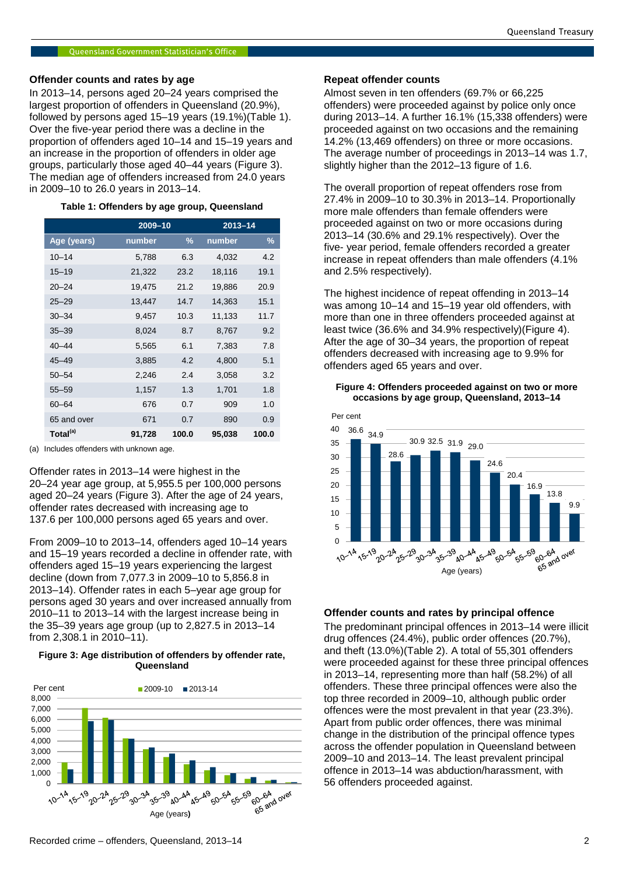## **Offender counts and rates by age**

In 2013–14, persons aged 20–24 years comprised the largest proportion of offenders in Queensland (20.9%), followed by persons aged 15–19 years (19.1%)(Table 1). Over the five-year period there was a decline in the proportion of offenders aged 10–14 and 15–19 years and an increase in the proportion of offenders in older age groups, particularly those aged 40–44 years (Figure 3). The median age of offenders increased from 24.0 years in 2009–10 to 26.0 years in 2013–14.

#### **Table 1: Offenders by age group, Queensland**

|                      |        | 2009-10       |        | $2013 - 14$ |  |
|----------------------|--------|---------------|--------|-------------|--|
| Age (years)          | number | $\frac{9}{6}$ | number | $\%$        |  |
| $10 - 14$            | 5,788  | 6.3           | 4,032  | 4.2         |  |
| $15 - 19$            | 21,322 | 23.2          | 18,116 | 19.1        |  |
| $20 - 24$            | 19,475 | 21.2          | 19,886 | 20.9        |  |
| $25 - 29$            | 13,447 | 14.7          | 14,363 | 15.1        |  |
| $30 - 34$            | 9,457  | 10.3          | 11,133 | 11.7        |  |
| $35 - 39$            | 8,024  | 8.7           | 8,767  | 9.2         |  |
| $40 - 44$            | 5,565  | 6.1           | 7,383  | 7.8         |  |
| $45 - 49$            | 3,885  | 4.2           | 4,800  | 5.1         |  |
| $50 - 54$            | 2,246  | 2.4           | 3,058  | 3.2         |  |
| $55 - 59$            | 1,157  | 1.3           | 1,701  | 1.8         |  |
| $60 - 64$            | 676    | 0.7           | 909    | 1.0         |  |
| 65 and over          | 671    | 0.7           | 890    | 0.9         |  |
| Total <sup>(a)</sup> | 91,728 | 100.0         | 95,038 | 100.0       |  |

(a) Includes offenders with unknown age.

Offender rates in 2013–14 were highest in the 20–24 year age group, at 5,955.5 per 100,000 persons aged 20–24 years (Figure 3). After the age of 24 years, offender rates decreased with increasing age to 137.6 per 100,000 persons aged 65 years and over.

From 2009–10 to 2013–14, offenders aged 10–14 years and 15–19 years recorded a decline in offender rate, with offenders aged 15–19 years experiencing the largest decline (down from 7,077.3 in 2009–10 to 5,856.8 in 2013–14). Offender rates in each 5–year age group for persons aged 30 years and over increased annually from 2010–11 to 2013–14 with the largest increase being in the 35–39 years age group (up to 2,827.5 in 2013–14 from 2,308.1 in 2010–11).

## **Figure 3: Age distribution of offenders by offender rate, Queensland**



### **Repeat offender counts**

Almost seven in ten offenders (69.7% or 66,225 offenders) were proceeded against by police only once during 2013–14. A further 16.1% (15,338 offenders) were proceeded against on two occasions and the remaining 14.2% (13,469 offenders) on three or more occasions. The average number of proceedings in 2013–14 was 1.7, slightly higher than the 2012–13 figure of 1.6.

The overall proportion of repeat offenders rose from 27.4% in 2009–10 to 30.3% in 2013–14. Proportionally more male offenders than female offenders were proceeded against on two or more occasions during 2013–14 (30.6% and 29.1% respectively). Over the five- year period, female offenders recorded a greater increase in repeat offenders than male offenders (4.1% and 2.5% respectively).

The highest incidence of repeat offending in 2013–14 was among 10–14 and 15–19 year old offenders, with more than one in three offenders proceeded against at least twice (36.6% and 34.9% respectively)(Figure 4). After the age of 30–34 years, the proportion of repeat offenders decreased with increasing age to 9.9% for offenders aged 65 years and over.

#### **Figure 4: Offenders proceeded against on two or more occasions by age group, Queensland, 2013–14**



### **Offender counts and rates by principal offence**

The predominant principal offences in 2013–14 were illicit drug offences (24.4%), public order offences (20.7%), and theft (13.0%)(Table 2). A total of 55,301 offenders were proceeded against for these three principal offences in 2013–14, representing more than half (58.2%) of all offenders. These three principal offences were also the top three recorded in 2009–10, although public order offences were the most prevalent in that year (23.3%). Apart from public order offences, there was minimal change in the distribution of the principal offence types across the offender population in Queensland between 2009–10 and 2013–14. The least prevalent principal offence in 2013–14 was abduction/harassment, with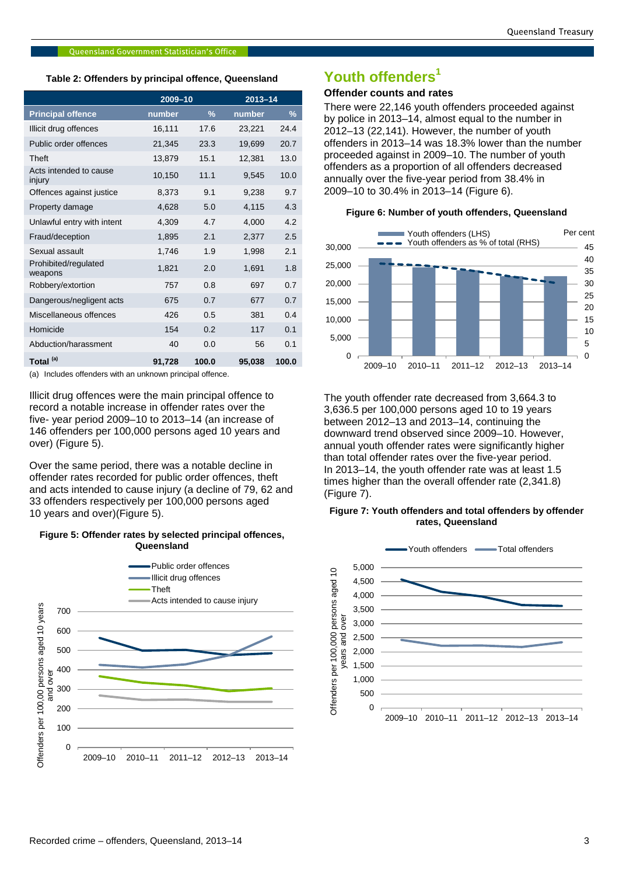#### **Table 2: Offenders by principal offence, Queensland**

|                                  |        | 2009-10       |        | $2013 - 14$ |  |
|----------------------------------|--------|---------------|--------|-------------|--|
| <b>Principal offence</b>         | number | $\frac{0}{0}$ | number | $\%$        |  |
| Illicit drug offences            | 16,111 | 17.6          | 23,221 | 24.4        |  |
| Public order offences            | 21,345 | 23.3          | 19,699 | 20.7        |  |
| Theft                            | 13.879 | 15.1          | 12.381 | 13.0        |  |
| Acts intended to cause<br>injury | 10,150 | 11.1          | 9,545  | 10.0        |  |
| Offences against justice         | 8.373  | 9.1           | 9.238  | 9.7         |  |
| Property damage                  | 4,628  | 5.0           | 4,115  | 4.3         |  |
| Unlawful entry with intent       | 4,309  | 4.7           | 4.000  | 4.2         |  |
| Fraud/deception                  | 1,895  | 2.1           | 2,377  | 2.5         |  |
| Sexual assault                   | 1,746  | 1.9           | 1,998  | 2.1         |  |
| Prohibited/regulated<br>weapons  | 1,821  | 2.0           | 1,691  | 1.8         |  |
| Robbery/extortion                | 757    | 0.8           | 697    | 0.7         |  |
| Dangerous/negligent acts         | 675    | 0.7           | 677    | 0.7         |  |
| Miscellaneous offences           | 426    | 0.5           | 381    | 0.4         |  |
| Homicide                         | 154    | 0.2           | 117    | 0.1         |  |
| Abduction/harassment             | 40     | 0.0           | 56     | 0.1         |  |
| Total <sup>(a)</sup>             | 91,728 | 100.0         | 95,038 | 100.0       |  |

(a) Includes offenders with an unknown principal offence.

Illicit drug offences were the main principal offence to record a notable increase in offender rates over the five- year period 2009–10 to 2013–14 (an increase of 146 offenders per 100,000 persons aged 10 years and over) (Figure 5).

Over the same period, there was a notable decline in offender rates recorded for public order offences, theft and acts intended to cause injury (a decline of 79, 62 and 33 offenders respectively per 100,000 persons aged 10 years and over)(Figure 5).

#### **Figure 5: Offender rates by selected principal offences, Queensland**



# **Youth offenders<sup>1</sup>**

# **Offender counts and rates**

There were 22,146 youth offenders proceeded against by police in 2013–14, almost equal to the number in 2012–13 (22,141). However, the number of youth offenders in 2013–14 was 18.3% lower than the number proceeded against in 2009–10. The number of youth offenders as a proportion of all offenders decreased annually over the five-year period from 38.4% in 2009–10 to 30.4% in 2013–14 (Figure 6).

#### **Figure 6: Number of youth offenders, Queensland**



The youth offender rate decreased from 3,664.3 to 3,636.5 per 100,000 persons aged 10 to 19 years between 2012–13 and 2013–14, continuing the downward trend observed since 2009–10. However, annual youth offender rates were significantly higher than total offender rates over the five-year period. In 2013–14, the youth offender rate was at least 1.5 times higher than the overall offender rate (2,341.8) (Figure 7).

#### **Figure 7: Youth offenders and total offenders by offender rates, Queensland**

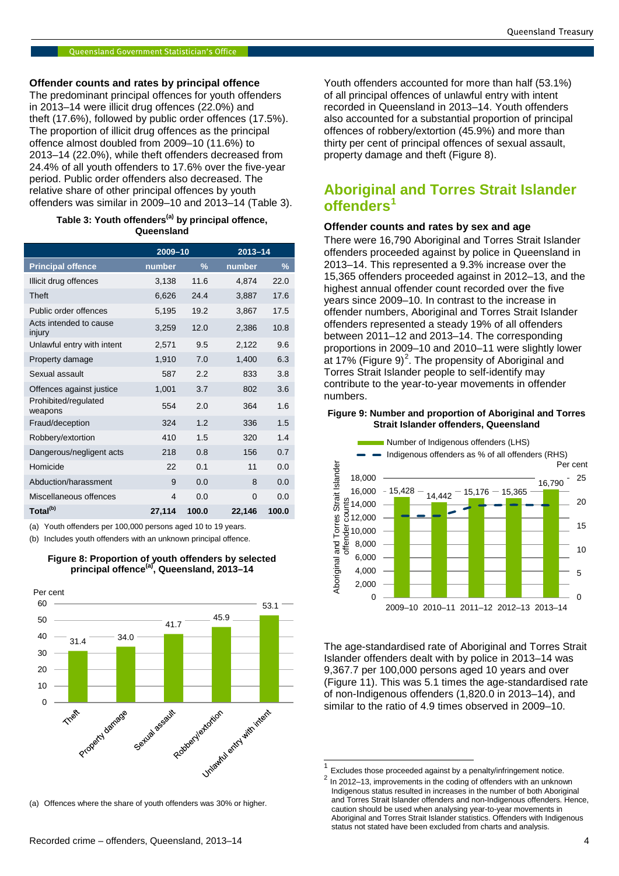**Offender counts and rates by principal offence**

The predominant principal offences for youth offenders in 2013–14 were illicit drug offences (22.0%) and theft (17.6%), followed by public order offences (17.5%). The proportion of illicit drug offences as the principal offence almost doubled from 2009–10 (11.6%) to 2013–14 (22.0%), while theft offenders decreased from 24.4% of all youth offenders to 17.6% over the five-year period. Public order offenders also decreased. The relative share of other principal offences by youth offenders was similar in 2009–10 and 2013–14 (Table 3).

### **Table 3: Youth offenders(a) by principal offence, Queensland**

|                                  | 2009-10        |               | $2013 - 14$ |       |
|----------------------------------|----------------|---------------|-------------|-------|
| <b>Principal offence</b>         | number         | $\frac{9}{6}$ | number      | %     |
| Illicit drug offences            | 3,138          | 11.6          | 4,874       | 22.0  |
| <b>Theft</b>                     | 6,626          | 24.4          | 3,887       | 17.6  |
| Public order offences            | 5,195          | 19.2          | 3,867       | 17.5  |
| Acts intended to cause<br>injury | 3,259          | 12.0          | 2,386       | 10.8  |
| Unlawful entry with intent       | 2,571          | 9.5           | 2,122       | 9.6   |
| Property damage                  | 1,910          | 7.0           | 1,400       | 6.3   |
| Sexual assault                   | 587            | 2.2           | 833         | 3.8   |
| Offences against justice         | 1,001          | 3.7           | 802         | 3.6   |
| Prohibited/regulated<br>weapons  | 554            | 2.0           | 364         | 1.6   |
| Fraud/deception                  | 324            | 1.2           | 336         | 1.5   |
| Robbery/extortion                | 410            | 1.5           | 320         | 1.4   |
| Dangerous/negligent acts         | 218            | 0.8           | 156         | 0.7   |
| Homicide                         | 22             | 0.1           | 11          | 0.0   |
| Abduction/harassment             | 9              | 0.0           | 8           | 0.0   |
| Miscellaneous offences           | $\overline{4}$ | 0.0           | $\Omega$    | 0.0   |
| Total <sup>(b)</sup>             | 27,114         | 100.0         | 22,146      | 100.0 |

(a) Youth offenders per 100,000 persons aged 10 to 19 years.

(b) Includes youth offenders with an unknown principal offence.



# **Figure 8: Proportion of youth offenders by selected principal offence(a), Queensland, 2013–14**

<span id="page-3-0"></span>(a) Offences where the share of youth offenders was 30% or higher.

Youth offenders accounted for more than half (53.1%) of all principal offences of unlawful entry with intent recorded in Queensland in 2013–14. Youth offenders also accounted for a substantial proportion of principal offences of robbery/extortion (45.9%) and more than thirty per cent of principal offences of sexual assault, property damage and theft (Figure 8).

# **Aboriginal and Torres Strait Islander offenders[1](#page-0-0)**

# **Offender counts and rates by sex and age**

There were 16,790 Aboriginal and Torres Strait Islander offenders proceeded against by police in Queensland in 2013–14. This represented a 9.3% increase over the 15,365 offenders proceeded against in 2012–13, and the highest annual offender count recorded over the five years since 2009–10. In contrast to the increase in offender numbers, Aboriginal and Torres Strait Islander offenders represented a steady 19% of all offenders between 2011–12 and 2013–14. The corresponding proportions in 2009–10 and 2010–11 were slightly lower at 17% (Figure 9) $^2$  $^2$ . The propensity of Aboriginal and Torres Strait Islander people to self-identify may contribute to the year-to-year movements in offender numbers.

#### **Figure 9: Number and proportion of Aboriginal and Torres Strait Islander offenders, Queensland**



The age-standardised rate of Aboriginal and Torres Strait Islander offenders dealt with by police in 2013–14 was 9,367.7 per 100,000 persons aged 10 years and over (Figure 11). This was 5.1 times the age-standardised rate of non-Indigenous offenders (1,820.0 in 2013–14), and similar to the ratio of 4.9 times observed in 2009–10.

 $\frac{1}{2}$  Excludes those proceeded against by a penalty/infringement notice.<br> $\frac{2}{2}$  In 2012–13, improvements in the coding of offenders with an unknown Indigenous status resulted in increases in the number of both Aboriginal and Torres Strait Islander offenders and non-Indigenous offenders. Hence, caution should be used when analysing year-to-year movements in Aboriginal and Torres Strait Islander statistics. Offenders with Indigenous status not stated have been excluded from charts and analysis.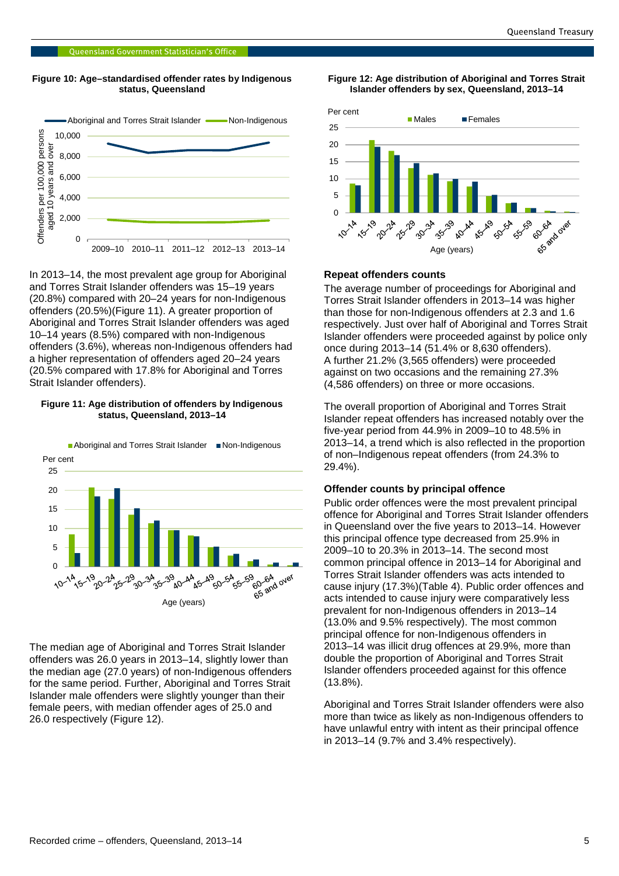#### **Figure 10: Age–standardised offender rates by Indigenous status, Queensland**



In 2013–14, the most prevalent age group for Aboriginal and Torres Strait Islander offenders was 15–19 years (20.8%) compared with 20–24 years for non-Indigenous offenders (20.5%)(Figure 11). A greater proportion of Aboriginal and Torres Strait Islander offenders was aged 10–14 years (8.5%) compared with non-Indigenous offenders (3.6%), whereas non-Indigenous offenders had a higher representation of offenders aged 20–24 years (20.5% compared with 17.8% for Aboriginal and Torres Strait Islander offenders).

#### **Figure 11: Age distribution of offenders by Indigenous status, Queensland, 2013–14**



The median age of Aboriginal and Torres Strait Islander offenders was 26.0 years in 2013–14, slightly lower than the median age (27.0 years) of non-Indigenous offenders for the same period. Further, Aboriginal and Torres Strait Islander male offenders were slightly younger than their female peers, with median offender ages of 25.0 and 26.0 respectively (Figure 12).

#### **Figure 12: Age distribution of Aboriginal and Torres Strait Islander offenders by sex, Queensland, 2013–14**



#### **Repeat offenders counts**

The average number of proceedings for Aboriginal and Torres Strait Islander offenders in 2013–14 was higher than those for non-Indigenous offenders at 2.3 and 1.6 respectively. Just over half of Aboriginal and Torres Strait Islander offenders were proceeded against by police only once during 2013–14 (51.4% or 8,630 offenders). A further 21.2% (3,565 offenders) were proceeded against on two occasions and the remaining 27.3% (4,586 offenders) on three or more occasions.

The overall proportion of Aboriginal and Torres Strait Islander repeat offenders has increased notably over the five-year period from 44.9% in 2009–10 to 48.5% in 2013–14, a trend which is also reflected in the proportion of non–Indigenous repeat offenders (from 24.3% to 29.4%).

#### **Offender counts by principal offence**

Public order offences were the most prevalent principal offence for Aboriginal and Torres Strait Islander offenders in Queensland over the five years to 2013–14. However this principal offence type decreased from 25.9% in 2009–10 to 20.3% in 2013–14. The second most common principal offence in 2013–14 for Aboriginal and Torres Strait Islander offenders was acts intended to cause injury (17.3%)(Table 4). Public order offences and acts intended to cause injury were comparatively less prevalent for non-Indigenous offenders in 2013–14 (13.0% and 9.5% respectively). The most common principal offence for non-Indigenous offenders in 2013–14 was illicit drug offences at 29.9%, more than double the proportion of Aboriginal and Torres Strait Islander offenders proceeded against for this offence (13.8%).

Aboriginal and Torres Strait Islander offenders were also more than twice as likely as non-Indigenous offenders to have unlawful entry with intent as their principal offence in 2013–14 (9.7% and 3.4% respectively).